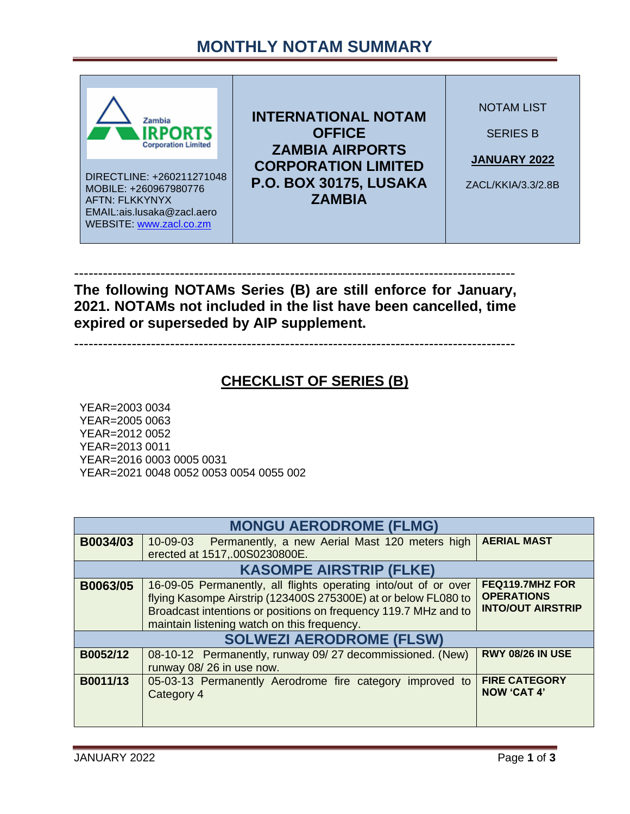## **MONTHLY NOTAM SUMMARY**



-------------------------------------------------------------------------------------------- **The following NOTAMs Series (B) are still enforce for January, 2021. NOTAMs not included in the list have been cancelled, time expired or superseded by AIP supplement.**

--------------------------------------------------------------------------------------------

#### **CHECKLIST OF SERIES (B)**

YEAR=2003 0034 YEAR=2005 0063 YEAR=2012 0052 YEAR=2013 0011 YEAR=2016 0003 0005 0031 YEAR=2021 0048 0052 0053 0054 0055 002

| <b>MONGU AERODROME (FLMG)</b>   |                                                                                                                                                                                                                                                     |                                                                  |  |  |
|---------------------------------|-----------------------------------------------------------------------------------------------------------------------------------------------------------------------------------------------------------------------------------------------------|------------------------------------------------------------------|--|--|
| B0034/03                        | Permanently, a new Aerial Mast 120 meters high<br>10-09-03<br>erected at 1517, 00S0230800E.                                                                                                                                                         | <b>AERIAL MAST</b>                                               |  |  |
| <b>KASOMPE AIRSTRIP (FLKE)</b>  |                                                                                                                                                                                                                                                     |                                                                  |  |  |
| B0063/05                        | 16-09-05 Permanently, all flights operating into/out of or over<br>flying Kasompe Airstrip (123400S 275300E) at or below FL080 to<br>Broadcast intentions or positions on frequency 119.7 MHz and to<br>maintain listening watch on this frequency. | FEQ119.7MHZ FOR<br><b>OPERATIONS</b><br><b>INTO/OUT AIRSTRIP</b> |  |  |
| <b>SOLWEZI AERODROME (FLSW)</b> |                                                                                                                                                                                                                                                     |                                                                  |  |  |
| B0052/12                        | 08-10-12 Permanently, runway 09/27 decommissioned. (New)<br>runway 08/26 in use now.                                                                                                                                                                | <b>RWY 08/26 IN USE</b>                                          |  |  |
| B0011/13                        | 05-03-13 Permanently Aerodrome fire category improved to<br>Category 4                                                                                                                                                                              | <b>FIRE CATEGORY</b><br><b>NOW 'CAT 4'</b>                       |  |  |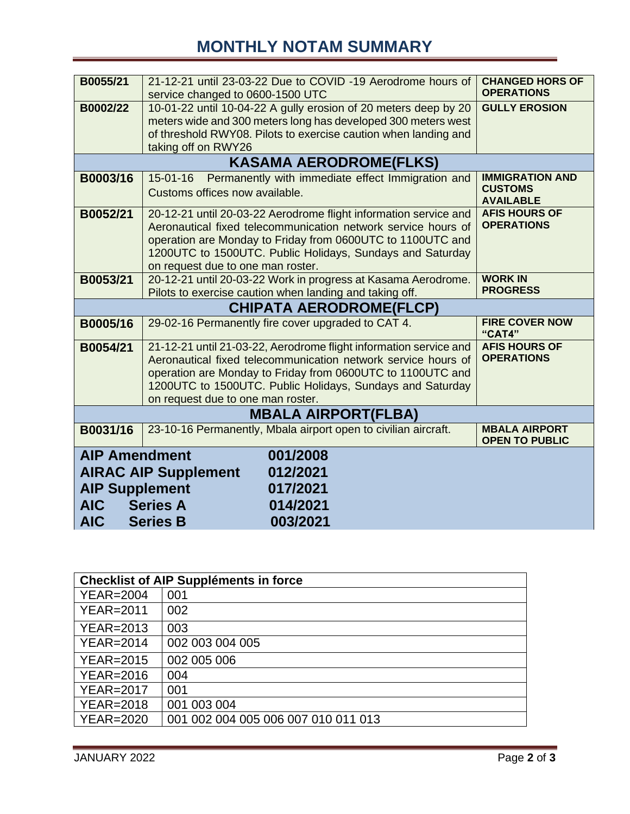# **MONTHLY NOTAM SUMMARY**

| B0055/21                                  | 21-12-21 until 23-03-22 Due to COVID -19 Aerodrome hours of         | <b>CHANGED HORS OF</b><br><b>OPERATIONS</b>   |  |  |
|-------------------------------------------|---------------------------------------------------------------------|-----------------------------------------------|--|--|
|                                           | service changed to 0600-1500 UTC                                    |                                               |  |  |
| B0002/22                                  | 10-01-22 until 10-04-22 A gully erosion of 20 meters deep by 20     | <b>GULLY EROSION</b>                          |  |  |
|                                           | meters wide and 300 meters long has developed 300 meters west       |                                               |  |  |
|                                           | of threshold RWY08. Pilots to exercise caution when landing and     |                                               |  |  |
|                                           | taking off on RWY26                                                 |                                               |  |  |
| <b>KASAMA AERODROME(FLKS)</b>             |                                                                     |                                               |  |  |
| B0003/16                                  | Permanently with immediate effect Immigration and<br>$15 - 01 - 16$ | <b>IMMIGRATION AND</b>                        |  |  |
|                                           | Customs offices now available.                                      | <b>CUSTOMS</b><br><b>AVAILABLE</b>            |  |  |
| B0052/21                                  | 20-12-21 until 20-03-22 Aerodrome flight information service and    | <b>AFIS HOURS OF</b>                          |  |  |
|                                           | Aeronautical fixed telecommunication network service hours of       | <b>OPERATIONS</b>                             |  |  |
|                                           | operation are Monday to Friday from 0600UTC to 1100UTC and          |                                               |  |  |
|                                           | 1200UTC to 1500UTC. Public Holidays, Sundays and Saturday           |                                               |  |  |
|                                           | on request due to one man roster.                                   |                                               |  |  |
| B0053/21                                  | 20-12-21 until 20-03-22 Work in progress at Kasama Aerodrome.       | <b>WORK IN</b>                                |  |  |
|                                           | Pilots to exercise caution when landing and taking off.             | <b>PROGRESS</b>                               |  |  |
|                                           | <b>CHIPATA AERODROME(FLCP)</b>                                      |                                               |  |  |
| B0005/16                                  | 29-02-16 Permanently fire cover upgraded to CAT 4.                  | <b>FIRE COVER NOW</b><br>"CAT4"               |  |  |
| B0054/21                                  | 21-12-21 until 21-03-22, Aerodrome flight information service and   | <b>AFIS HOURS OF</b>                          |  |  |
|                                           | Aeronautical fixed telecommunication network service hours of       | <b>OPERATIONS</b>                             |  |  |
|                                           | operation are Monday to Friday from 0600UTC to 1100UTC and          |                                               |  |  |
|                                           | 1200UTC to 1500UTC. Public Holidays, Sundays and Saturday           |                                               |  |  |
|                                           | on request due to one man roster.                                   |                                               |  |  |
| <b>MBALA AIRPORT(FLBA)</b>                |                                                                     |                                               |  |  |
| B0031/16                                  | 23-10-16 Permanently, Mbala airport open to civilian aircraft.      | <b>MBALA AIRPORT</b><br><b>OPEN TO PUBLIC</b> |  |  |
| <b>AIP Amendment</b><br>001/2008          |                                                                     |                                               |  |  |
| <b>AIRAC AIP Supplement</b><br>012/2021   |                                                                     |                                               |  |  |
| <b>AIP Supplement</b><br>017/2021         |                                                                     |                                               |  |  |
|                                           |                                                                     |                                               |  |  |
| <b>AIC</b><br><b>Series A</b><br>014/2021 |                                                                     |                                               |  |  |
| <b>AIC</b><br>003/2021<br><b>Series B</b> |                                                                     |                                               |  |  |

| <b>Checklist of AIP Suppléments in force</b> |                                     |  |
|----------------------------------------------|-------------------------------------|--|
| <b>YEAR=2004</b>                             | 001                                 |  |
| <b>YEAR=2011</b>                             | 002                                 |  |
| <b>YEAR=2013</b>                             | 003                                 |  |
| <b>YEAR=2014</b>                             | 002 003 004 005                     |  |
| <b>YEAR=2015</b>                             | 002 005 006                         |  |
| <b>YEAR=2016</b>                             | 004                                 |  |
| <b>YEAR=2017</b>                             | 001                                 |  |
| <b>YEAR=2018</b>                             | 001 003 004                         |  |
| <b>YEAR=2020</b>                             | 001 002 004 005 006 007 010 011 013 |  |